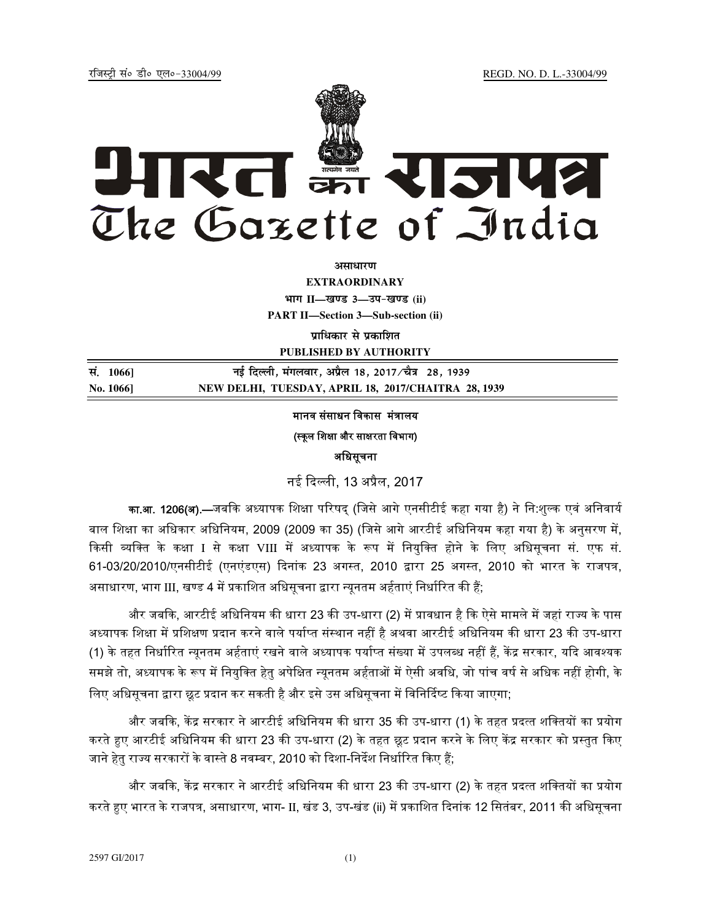jftLVªh laö Mhö ,yö&33004@99 REGD. NO. D. L.-33004/99



**vlk/kj.k**

**EXTRAORDINARY Hkkx II—[k.M 3—mi&[k.M (ii)**

**PART II—Section 3—Sub-section (ii)** 

**प्राधिकार से प्रकाशित** 

**PUBLISHED BY AUTHORITY**

| सं. 1066] | नई दिल्ली, मंगलवार, अप्रैल 18, 2017 ∕चैत्र 28, 1939 |
|-----------|-----------------------------------------------------|
| No. 1066] | NEW DELHI, TUESDAY, APRIL 18, 2017/CHAITRA 28, 1939 |

# मानव संसाधन विकास मंत्रालय

# (स्कूल शिक्षा और साक्षरता विभाग)

अधिसूचना

नई ᳰद᭨ ली, 13 अᮧैल, 2017

का.<mark>आ. 1206(अ).—</mark>जबकि अध्यापक शिक्षा परिषद् (जिसे आगे एनसीटीई कहा गया है) ने नि:शुल्क एवं अनिवार्य बाल शिक्षा का अधिकार अधिनियम, 2009 (2009 का 35) (जिसे आगे आरटीई अधिनियम कहा गया है) के अनुसरण में, किसी व्यक्ति के कक्षा I से कक्षा VIII में अध्यापक के रूप में नियुक्ति होने के लिए अधिसूचना सं. एफ सं. 61-03/20/2010/एनसीटीई (एनएंडएस) दिनांक 23 अगस्त, 2010 द्वारा 25 अगस्त, 2010 को भारत के राजपत्र, असाधारण, भाग III, खण्ड 4 में प्रकाशित अधिसूचना द्वारा न्यूनतम अर्हताएं निर्धारित की हैं;

और जबकि, आरटीई अधिनियम की धारा 23 की उप-धारा (2) में प्रावधान है कि ऐसे मामले में जहां राज्य के पास अध्यापक शिक्षा में प्रशिक्षण प्रदान करने वाले पर्याप्त संस्थान नहीं है अथवा आरटीई अधिनियम की धारा 23 की उप-धारा (1) के तहत निर्धारित न्यूनतम अर्हताएं रखने वाले अध्यापक पर्याप्त संख्या में उपलब्ध नहीं हैं, केंद्र सरकार, यदि आवश्यक समझे तो, अध्यापक के रूप में नियुक्ति हेतु अपेक्षित न्युनतम अर्हताओं में ऐसी अवधि, जो पांच वर्ष से अधिक नहीं होगी, के लिए अधिसूचना द्वारा छूट प्रदान कर सकती है और इसे उस अधिसूचना में विनिर्दिष्ट किया जाएगा;

और जबकि, केंद्र सरकार ने आरटीई अधिनियम की धारा 35 की उप-धारा (1) के तहत प्रदत्त शक्तियों का प्रयोग करते हए आरटीई अधिनियम की धारा 23 की उप-धारा (2) के तहत छूट प्रदान करने के लिए केंद्र सरकार को प्रस्तुत किए जाने हेतु राज्य सरकारों के वास्ते 8 नवम्बर, 2010 को दिशा-निर्देश निर्धारित किए हैं;

और जबकि, केंद्र सरकार ने आरटीई अधिनियम की धारा 23 की उप-धारा (2) के तहत प्रदत्त शक्तियों का प्रयोग करते हुए भारत के राजपत्र, असाधारण, भाग- II, खंड 3, उप-खंड (ii) में प्रकाशित दिनांक 12 सितंबर, 2011 की अधिसूचना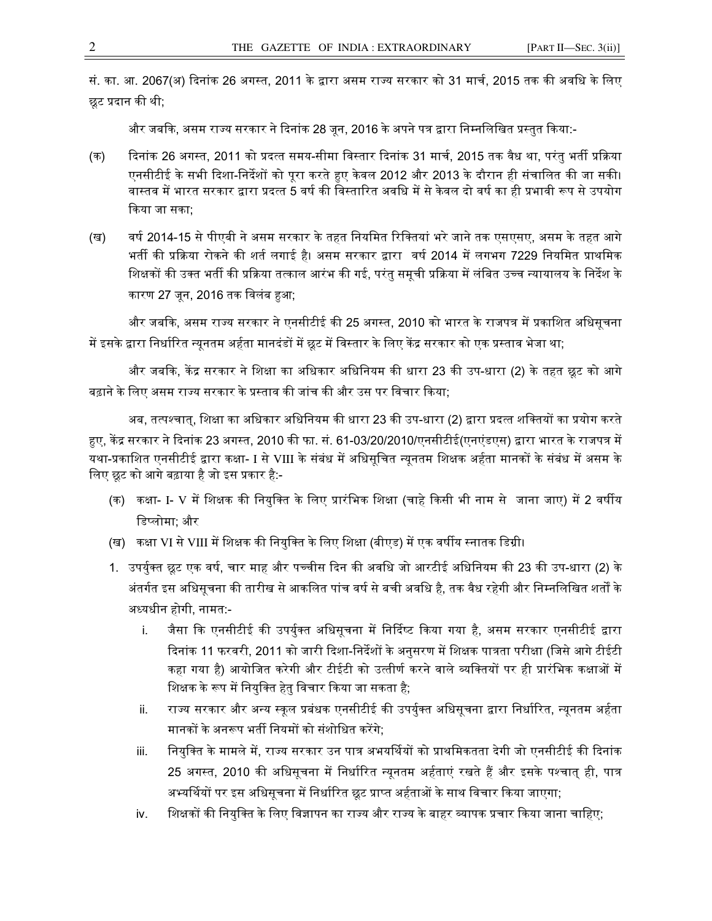सं. का. आ. 2067(अ) दिनांक 26 अगस्त. 2011 के द्वारा असम राज्य सरकार को 31 मार्च, 2015 तक की अवधि के लिए छट प्रदान की थी:

और जबकि, असम राज्य सरकार ने दिनांक 28 जून, 2016 के अपने पत्र द्वारा निम्नलिखित प्रस्तुत किया:-

- (क) त्रिनांक 26 अगस्त, 2011 को प्रदत्त समय-सीमा विस्तार दिनांक 31 मार्च, 2015 तक वैध था, परंतु भर्ती प्रक्रिया एनसीटीई के सभी दिशा-निर्देशों को पूरा करते हुए केवल 2012 और 2013 के दौरान ही संचालित की जा सकी। वास्तव में भारत सरकार द्वारा प्रदत्त 5 वर्ष की विस्तारित अवधि में से केवल दो वर्ष का ही प्रभावी रूप से उपयोग किया जा सका<sup>.</sup>
- (ख) वर्ष 2014-15 से पीएबी ने असम सरकार के तहत नियमित रिक्तियां भरे जाने तक एसएसए, असम के तहत आगे भर्ती की प्रक्रिया रोकने की शर्त लगाई है। असम सरकार द्वारा वर्ष 2014 में लगभग 7229 नियमित प्राथमिक शिक्षकों की उक्त भर्ती की प्रक्रिया तत्काल आरंभ की गई, परंतु समूची प्रक्रिया में लंबित उच्च न्यायालय के निर्देश के कारण 27 जन, 2016 तक विलंब हुआ;

और जबकि, असम राज्य सरकार ने एनसीटीई की 25 अगस्त, 2010 को भारत के राजपत्र में प्रकाशित अधिसूचना में इसके द्वारा निर्धारित न्युनतम अर्हता मानदंडों में छूट में विस्तार के लिए केंद्र सरकार को एक प्रस्ताव भेजा था;

और जबकि, केंद्र सरकार ने शिक्षा का अधिकार अधिनियम की धारा 23 की उप-धारा (2) के तहत छूट को आगे बढ़ाने के लिए असम राज्य सरकार के प्रस्ताव की जांच की और उस पर विचार किया;

अब, तत्पश्चात्, शिक्षा का अधिकार अधिनियम की धारा 23 की उप-धारा (2) द्वारा प्रदत्त शक्तियों का प्रयोग करते हुए, केंद्र सरकार ने दिनांक 23 अगस्त, 2010 की फा. सं. 61-03/20/2010/एनसीटीई(एनएंडएस) द्वारा भारत के राजपत्र में यथा-प्रकाशित एनसीटीई द्वारा कक्षा- I से VIII के संबंध में अधिसूचित न्यूनतम शिक्षक अर्हता मानकों के संबंध में असम के लिए छूट को आगे बढ़ाया है जो इस प्रकार है:-

- (क) कक्षा- I- V में शिक्षक की नियुक्ति के लिए प्रारंभिक शिक्षा (चाहे किसी भी नाम से जाना जाए) में 2 वर्षीय डिप्लोमा; और
- (ख) कक्षा VI से VIII में शिक्षक की नियुक्ति के लिए शिक्षा (बीएड) में एक वर्षीय स्नातक डिग्री।
- 1. उपर्युक्त छूट एक वर्ष, चार माह और पच्चीस दिन की अवधि जो आरटीई अधिनियम की 23 की उप-धारा (2) के अंतर्गत इस अधिसूचना की तारीख से आकलित पांच वर्ष से बची अवधि है, तक वैध रहेगी और निम्नलिखित शर्तों के अध्यधीन होगी, नामत:
	- i. जैसा कि एनसीटीई की उपर्युक्त अधिसूचना में निर्दिष्ट किया गया है, असम सरकार एनसीटीई द्वारा दिनांक 11 फरवरी, 2011 को जारी दिशा-निर्देशों के अनुसरण में शिक्षक पात्रता परीक्षा (जिसे आगे टीईटी कहा गया है) आयोजित करेगी और टीईटी को उत्तीर्ण करने वाले व्यक्तियों पर ही प्रारंभिक कक्षाओं में शिक्षक के रूप में नियुक्ति हेतु विचार किया जा सकता है;
	- ii. राज्य सरकार और अन्य स्कूल प्रबंधक एनसीटीई की उपर्युक्त अधिसूचना द्वारा निर्धारित, न्यूनतम अर्हता मानकों के अनरूप भर्ती नियमों को संशोधित करेंगे;
	- iii. नियुक्ति के मामले में, राज्य सरकार उन पात्र अभयर्थियों को प्राथमिकतता देगी जो एनसीटीई की दिनांक 25 अगस्त, 2010 की अधिसूचना में निर्धारित न्यूनतम अर्हताएं रखते हैं और इसके पश्चात् ही, पात्र अभ्यर्थियों पर इस अधिसूचना में निर्धारित छूट प्राप्त अर्हताओं के साथ विचार किया जाएगा;
	- iv. शिक्षकों की नियुक्ति के लिए विज्ञापन का राज्य और राज्य के बाहर व्यापक प्रचार किया जाना चाहिए;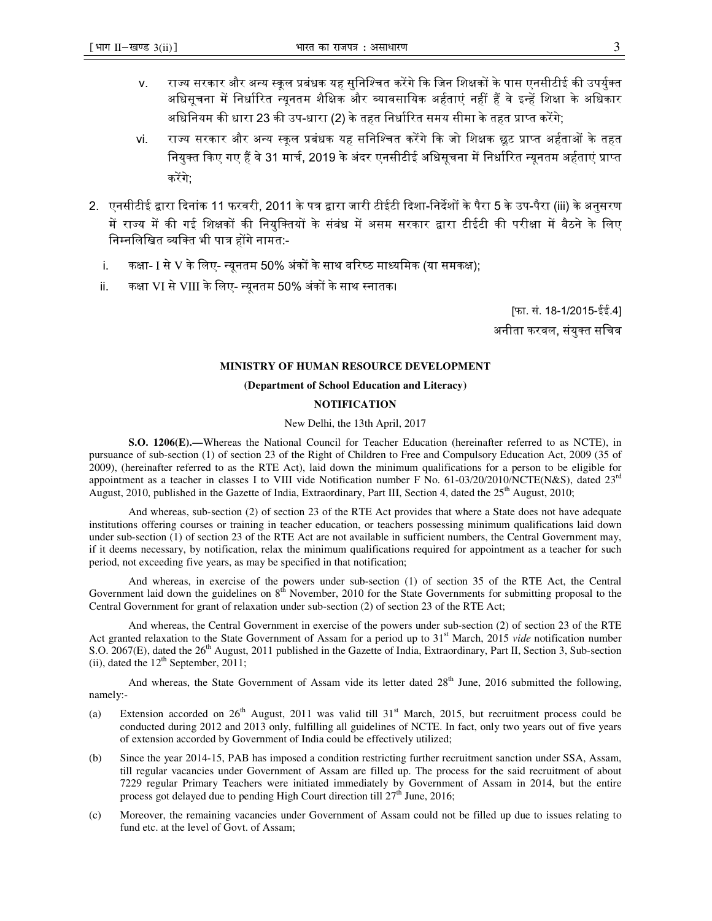- v. राज्य सरकार और अन्य स्कुल प्रबंधक यह सुनिश्चित करेंगे कि जिन शिक्षकों के पास एनसीटीई की उपर्युक्त अधिसूचना में निर्धारित न्युनतम शैक्षिक और व्यावसायिक अर्हताएं नहीं हैं वे इन्हें शिक्षा के अधिकार अधिनियम की धारा 23 की उप-धारा (2) के तहत निर्धारित समय सीमा के तहत प्राप्त करेंगे;
- vi. राज्य सरकार और अन्य स्कुल प्रबंधक यह सनिश्चित करेंगे कि जो शिक्षक छुट प्राप्त अर्हताओं के तहत नियुक्त किए गए हैं वे 31 मार्च, 2019 के अंदर एनसीटीई अधिसूचना में निर्धारित न्यूनतम अर्हताएं प्राप्त करेंगे<sup>.</sup>
- 2. एनसीटीई द्वारा दिनांक 11 फरवरी, 2011 के पत्र द्वारा जारी टीईटी दिशा-निर्देशों के पैरा 5 के उप-पैरा (iii) के अनुसरण में राज्य में की गई शिक्षकों की नियुक्तियों के संबंध में असम सरकार द्वारा टीईटी की परीक्षा में बैठने के लिए निम्नलिखित व्यक्ति भी पात्र होंगे नामत:
	- i. कक्षा- I से V के लिए- न्यूनतम 50% अंकों के साथ वरिष्ठ माध्यमिक (या समकक्ष);
	- ii. कक्षा VI से VIII के लिए- न्यूनतम 50% अंकों के साथ स्नातक।

[फा. सं. 18-1/2015-ईई.4] अनीता करवल, संयुक्त सचिव

## **MINISTRY OF HUMAN RESOURCE DEVELOPMENT**

### **(Department of School Education and Literacy)**

#### **NOTIFICATION**

New Delhi, the 13th April, 2017

 **S.O. 1206(E).—**Whereas the National Council for Teacher Education (hereinafter referred to as NCTE), in pursuance of sub-section (1) of section 23 of the Right of Children to Free and Compulsory Education Act, 2009 (35 of 2009), (hereinafter referred to as the RTE Act), laid down the minimum qualifications for a person to be eligible for appointment as a teacher in classes I to VIII vide Notification number F No. 61-03/20/2010/NCTE(N&S), dated 23<sup>rd</sup> August, 2010, published in the Gazette of India, Extraordinary, Part III, Section 4, dated the 25<sup>th</sup> August, 2010;

 And whereas, sub-section (2) of section 23 of the RTE Act provides that where a State does not have adequate institutions offering courses or training in teacher education, or teachers possessing minimum qualifications laid down under sub-section (1) of section 23 of the RTE Act are not available in sufficient numbers, the Central Government may, if it deems necessary, by notification, relax the minimum qualifications required for appointment as a teacher for such period, not exceeding five years, as may be specified in that notification;

 And whereas, in exercise of the powers under sub-section (1) of section 35 of the RTE Act, the Central Government laid down the guidelines on 8<sup>th</sup> November, 2010 for the State Governments for submitting proposal to the Central Government for grant of relaxation under sub-section (2) of section 23 of the RTE Act;

 And whereas, the Central Government in exercise of the powers under sub-section (2) of section 23 of the RTE Act granted relaxation to the State Government of Assam for a period up to 31<sup>st</sup> March, 2015 *vide* notification number S.O. 2067(E), dated the 26<sup>th</sup> August, 2011 published in the Gazette of India, Extraordinary, Part II, Section 3, Sub-section (ii), dated the  $12<sup>th</sup>$  September, 2011;

And whereas, the State Government of Assam vide its letter dated  $28<sup>th</sup>$  June, 2016 submitted the following, namely:-

- (a) Extension accorded on  $26<sup>th</sup>$  August, 2011 was valid till  $31<sup>st</sup>$  March, 2015, but recruitment process could be conducted during 2012 and 2013 only, fulfilling all guidelines of NCTE. In fact, only two years out of five years of extension accorded by Government of India could be effectively utilized;
- (b) Since the year 2014-15, PAB has imposed a condition restricting further recruitment sanction under SSA, Assam, till regular vacancies under Government of Assam are filled up. The process for the said recruitment of about 7229 regular Primary Teachers were initiated immediately by Government of Assam in 2014, but the entire process got delayed due to pending High Court direction till  $27<sup>th</sup>$  June, 2016;
- (c) Moreover, the remaining vacancies under Government of Assam could not be filled up due to issues relating to fund etc. at the level of Govt. of Assam;